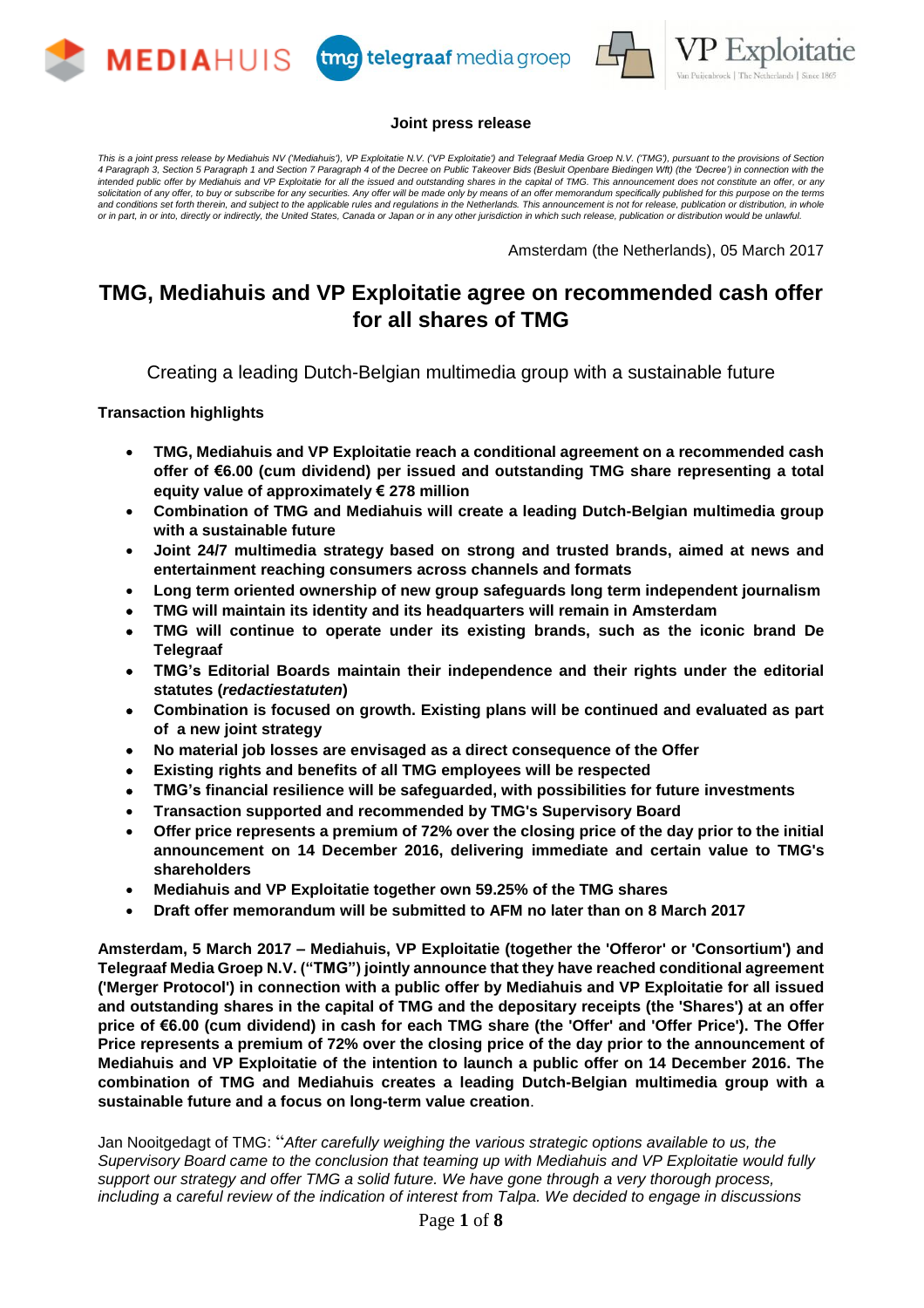





#### **Joint press release**

This is a ioint press release by Mediahuis NV ('Mediahuis'), VP Exploitatie N.V. ('VP Exploitatie') and Telegraaf Media Groep N.V. ('TMG'), pursuant to the provisions of Section 4 Paragraph 3, Section 5 Paragraph 1 and Section 7 Paragraph 4 of the Decree on Public Takeover Bids (Besluit Openbare Biedingen Wft) (the Decree') in connection with the intended public offer by Mediahuis and VP Exploitatie for all the issued and outstanding shares in the capital of TMG. This announcement does not constitute an offer, or any solicitation of any offer, to buy or subscribe for any securities. Any offer will be made only by means of an offer memorandum specifically published for this purpose on the terms and conditions set forth therein, and subject to the applicable rules and regulations in the Netherlands. This announcement is not for release, publication or distribution, in whole or in part, in or into, directly or indirectly, the United States, Canada or Japan or in any other jurisdiction in which such release, publication or distribution would be unlawful.

Amsterdam (the Netherlands), 05 March 2017

# **TMG, Mediahuis and VP Exploitatie agree on recommended cash offer for all shares of TMG**

Creating a leading Dutch-Belgian multimedia group with a sustainable future

**Transaction highlights**

- **TMG, Mediahuis and VP Exploitatie reach a conditional agreement on a recommended cash offer of €6.00 (cum dividend) per issued and outstanding TMG share representing a total equity value of approximately € 278 million**
- **Combination of TMG and Mediahuis will create a leading Dutch-Belgian multimedia group with a sustainable future**
- **Joint 24/7 multimedia strategy based on strong and trusted brands, aimed at news and entertainment reaching consumers across channels and formats**
- **Long term oriented ownership of new group safeguards long term independent journalism**
- **TMG will maintain its identity and its headquarters will remain in Amsterdam**
- **TMG will continue to operate under its existing brands, such as the iconic brand De Telegraaf**
- **TMG's Editorial Boards maintain their independence and their rights under the editorial statutes (***redactiestatuten***)**
- **Combination is focused on growth. Existing plans will be continued and evaluated as part of a new joint strategy**
- **No material job losses are envisaged as a direct consequence of the Offer**
- **Existing rights and benefits of all TMG employees will be respected**
- **TMG's financial resilience will be safeguarded, with possibilities for future investments**
- **Transaction supported and recommended by TMG's Supervisory Board**
- **Offer price represents a premium of 72% over the closing price of the day prior to the initial announcement on 14 December 2016, delivering immediate and certain value to TMG's shareholders**
- **Mediahuis and VP Exploitatie together own 59.25% of the TMG shares**
- **Draft offer memorandum will be submitted to AFM no later than on 8 March 2017**

**Amsterdam, 5 March 2017 – Mediahuis, VP Exploitatie (together the 'Offeror' or 'Consortium') and Telegraaf Media Groep N.V. ("TMG") jointly announce that they have reached conditional agreement ('Merger Protocol') in connection with a public offer by Mediahuis and VP Exploitatie for all issued and outstanding shares in the capital of TMG and the depositary receipts (the 'Shares') at an offer** price of €6.00 (cum dividend) in cash for each TMG share (the 'Offer' and 'Offer Price'). The Offer **Price represents a premium of 72% over the closing price of the day prior to the announcement of Mediahuis and VP Exploitatie of the intention to launch a public offer on 14 December 2016. The combination of TMG and Mediahuis creates a leading Dutch-Belgian multimedia group with a sustainable future and a focus on long-term value creation**.

Jan Nooitgedagt of TMG: "*After carefully weighing the various strategic options available to us, the Supervisory Board came to the conclusion that teaming up with Mediahuis and VP Exploitatie would fully support our strategy and offer TMG a solid future. We have gone through a very thorough process, including a careful review of the indication of interest from Talpa. We decided to engage in discussions*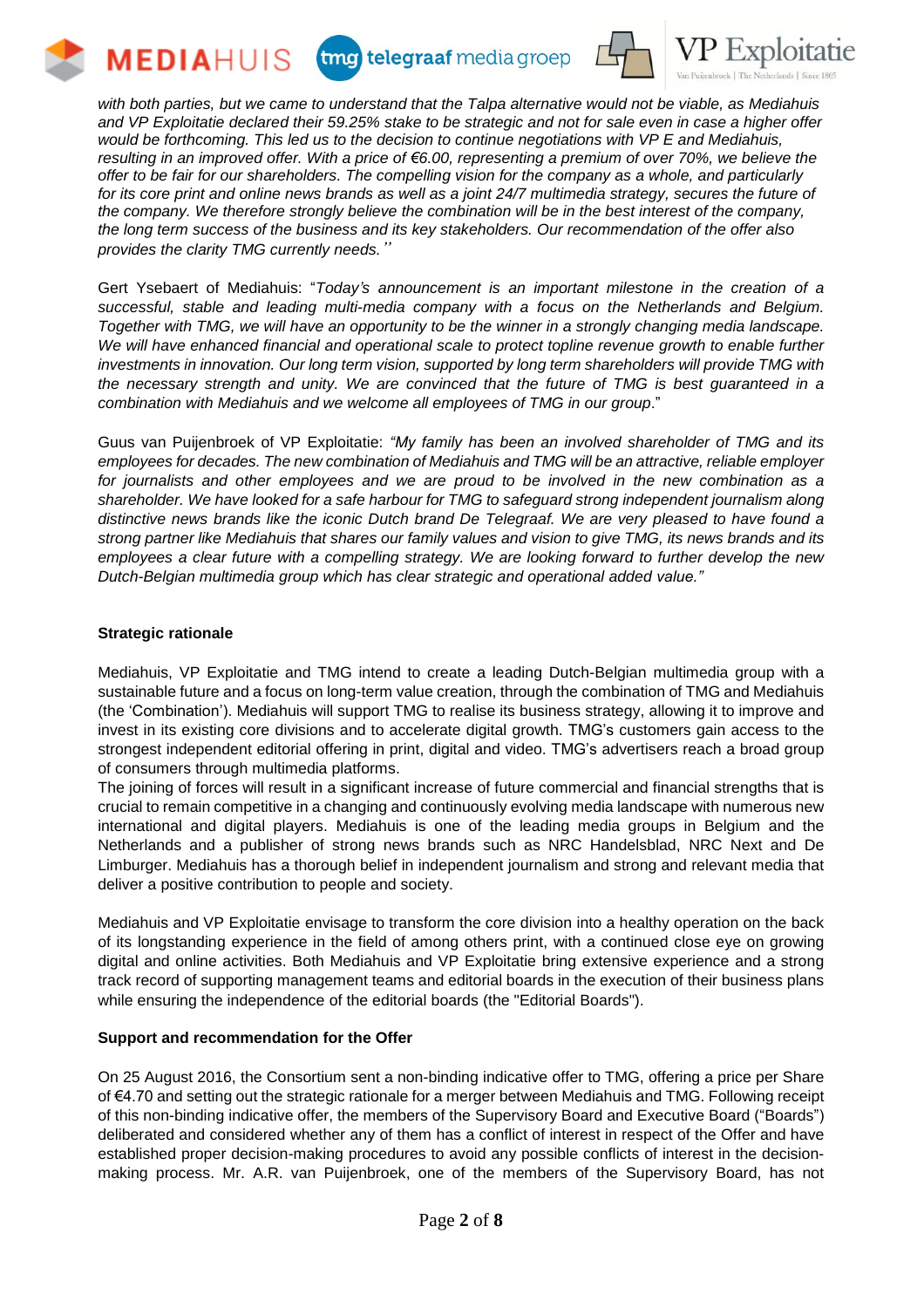







with both parties, but we came to understand that the Talpa alternative would not be viable, as Mediahuis and VP Exploitatie declared their 59.25% stake to be strategic and not for sale even in case a higher offer *would be forthcoming. This led us to the decision to continue negotiations with VP E and Mediahuis,* resulting in an improved offer. With a price of €6.00, representing a premium of over 70%, we believe the offer to be fair for our shareholders. The compelling vision for the company as a whole, and particularly for its core print and online news brands as well as a joint 24/7 multimedia strategy, secures the future of *the company. We therefore strongly believe the combination will be in the best interest of the company, the long term success of the business and its key stakeholders. Our recommendation of the offer also provides the clarity TMG currently needs."*

Gert Ysebaert of Mediahuis: "*Today's announcement is an important milestone in the creation of a successful, stable and leading multi-media company with a focus on the Netherlands and Belgium.* Together with TMG, we will have an opportunity to be the winner in a strongly changing media landscape. *We will have enhanced financial and operational scale to protect topline revenue growth to enable further investments in innovation. Our long term vision, supported by long term shareholders will provide TMG with the necessary strength and unity. We are convinced that the future of TMG is best guaranteed in a combination with Mediahuis and we welcome all employees of TMG in our group*."

Guus van Puijenbroek of VP Exploitatie: *"My family has been an involved shareholder of TMG and its employees for decades. The new combination of Mediahuis and TMG will be an attractive, reliable employer for journalists and other employees and we are proud to be involved in the new combination as a shareholder. We have looked for a safe harbour for TMG to safeguard strong independent journalism along* distinctive news brands like the iconic Dutch brand De Telegraaf. We are very pleased to have found a strong partner like Mediahuis that shares our family values and vision to give TMG, its news brands and its *employees a clear future with a compelling strategy. We are looking forward to further develop the new Dutch-Belgian multimedia group which has clear strategic and operational added value."*

# **Strategic rationale**

Mediahuis, VP Exploitatie and TMG intend to create a leading Dutch-Belgian multimedia group with a sustainable future and a focus on long-term value creation, through the combination of TMG and Mediahuis (the 'Combination'). Mediahuis will support TMG to realise its business strategy, allowing it to improve and invest in its existing core divisions and to accelerate digital growth. TMG's customers gain access to the strongest independent editorial offering in print, digital and video. TMG's advertisers reach a broad group of consumers through multimedia platforms.

The joining of forces will result in a significant increase of future commercial and financial strengths that is crucial to remain competitive in a changing and continuously evolving media landscape with numerous new international and digital players. Mediahuis is one of the leading media groups in Belgium and the Netherlands and a publisher of strong news brands such as NRC Handelsblad, NRC Next and De Limburger. Mediahuis has a thorough belief in independent journalism and strong and relevant media that deliver a positive contribution to people and society.

Mediahuis and VP Exploitatie envisage to transform the core division into a healthy operation on the back of its longstanding experience in the field of among others print, with a continued close eye on growing digital and online activities. Both Mediahuis and VP Exploitatie bring extensive experience and a strong track record of supporting management teams and editorial boards in the execution of their business plans while ensuring the independence of the editorial boards (the "Editorial Boards").

# **Support and recommendation for the Offer**

On 25 August 2016, the Consortium sent a non-binding indicative offer to TMG, offering a price per Share of €4.70 and setting out the strategic rationale for a merger between Mediahuis and TMG. Following receipt of this non-binding indicative offer, the members of the Supervisory Board and Executive Board ("Boards") deliberated and considered whether any of them has a conflict of interest in respect of the Offer and have established proper decision-making procedures to avoid any possible conflicts of interest in the decisionmaking process. Mr. A.R. van Puijenbroek, one of the members of the Supervisory Board, has not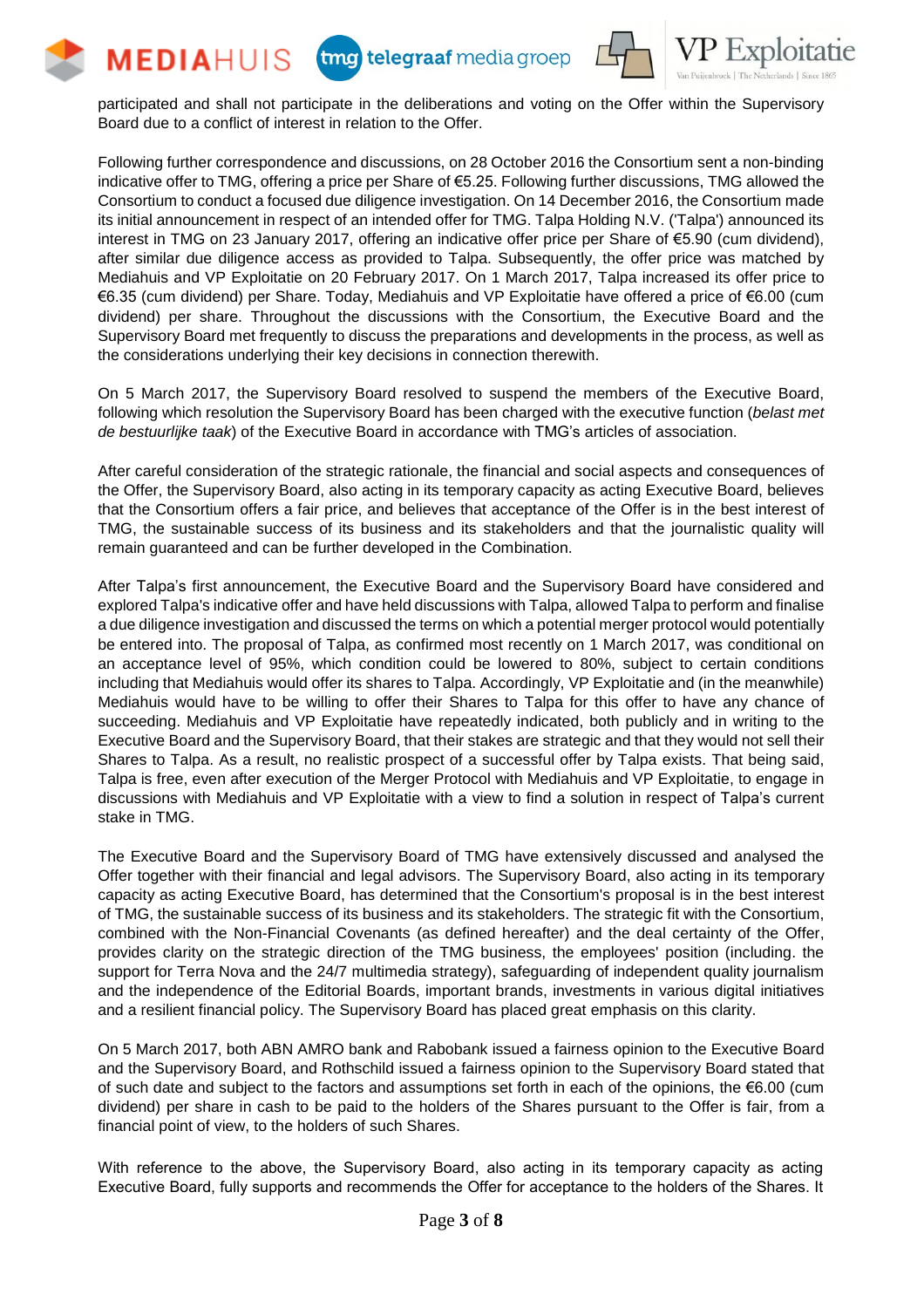







participated and shall not participate in the deliberations and voting on the Offer within the Supervisory Board due to a conflict of interest in relation to the Offer.

Following further correspondence and discussions, on 28 October 2016 the Consortium sent a non-binding indicative offer to TMG, offering a price per Share of €5.25. Following further discussions, TMG allowed the Consortium to conduct a focused due diligence investigation. On 14 December 2016, the Consortium made its initial announcement in respect of an intended offer for TMG. Talpa Holding N.V. ('Talpa') announced its interest in TMG on 23 January 2017, offering an indicative offer price per Share of €5.90 (cum dividend), after similar due diligence access as provided to Talpa. Subsequently, the offer price was matched by Mediahuis and VP Exploitatie on 20 February 2017. On 1 March 2017, Talpa increased its offer price to €6.35 (cum dividend) per Share. Today, Mediahuis and VP Exploitatie have offered a price of €6.00 (cum dividend) per share. Throughout the discussions with the Consortium, the Executive Board and the Supervisory Board met frequently to discuss the preparations and developments in the process, as well as the considerations underlying their key decisions in connection therewith.

On 5 March 2017, the Supervisory Board resolved to suspend the members of the Executive Board, following which resolution the Supervisory Board has been charged with the executive function (*belast met de bestuurlijke taak*) of the Executive Board in accordance with TMG's articles of association.

After careful consideration of the strategic rationale, the financial and social aspects and consequences of the Offer, the Supervisory Board, also acting in its temporary capacity as acting Executive Board, believes that the Consortium offers a fair price, and believes that acceptance of the Offer is in the best interest of TMG, the sustainable success of its business and its stakeholders and that the journalistic quality will remain guaranteed and can be further developed in the Combination.

After Talpa's first announcement, the Executive Board and the Supervisory Board have considered and explored Talpa's indicative offer and have held discussions with Talpa, allowed Talpa to perform and finalise a due diligence investigation and discussed the terms on which a potential merger protocol would potentially be entered into. The proposal of Talpa, as confirmed most recently on 1 March 2017, was conditional on an acceptance level of 95%, which condition could be lowered to 80%, subject to certain conditions including that Mediahuis would offer its shares to Talpa. Accordingly, VP Exploitatie and (in the meanwhile) Mediahuis would have to be willing to offer their Shares to Talpa for this offer to have any chance of succeeding. Mediahuis and VP Exploitatie have repeatedly indicated, both publicly and in writing to the Executive Board and the Supervisory Board, that their stakes are strategic and that they would not sell their Shares to Talpa. As a result, no realistic prospect of a successful offer by Talpa exists. That being said, Talpa is free, even after execution of the Merger Protocol with Mediahuis and VP Exploitatie, to engage in discussions with Mediahuis and VP Exploitatie with a view to find a solution in respect of Talpa's current stake in TMG.

The Executive Board and the Supervisory Board of TMG have extensively discussed and analysed the Offer together with their financial and legal advisors. The Supervisory Board, also acting in its temporary capacity as acting Executive Board, has determined that the Consortium's proposal is in the best interest of TMG, the sustainable success of its business and its stakeholders. The strategic fit with the Consortium, combined with the Non-Financial Covenants (as defined hereafter) and the deal certainty of the Offer, provides clarity on the strategic direction of the TMG business, the employees' position (including. the support for Terra Nova and the 24/7 multimedia strategy), safeguarding of independent quality journalism and the independence of the Editorial Boards, important brands, investments in various digital initiatives and a resilient financial policy. The Supervisory Board has placed great emphasis on this clarity.

On 5 March 2017, both ABN AMRO bank and Rabobank issued a fairness opinion to the Executive Board and the Supervisory Board, and Rothschild issued a fairness opinion to the Supervisory Board stated that of such date and subject to the factors and assumptions set forth in each of the opinions, the €6.00 (cum dividend) per share in cash to be paid to the holders of the Shares pursuant to the Offer is fair, from a financial point of view, to the holders of such Shares.

With reference to the above, the Supervisory Board, also acting in its temporary capacity as acting Executive Board, fully supports and recommends the Offer for acceptance to the holders of the Shares. It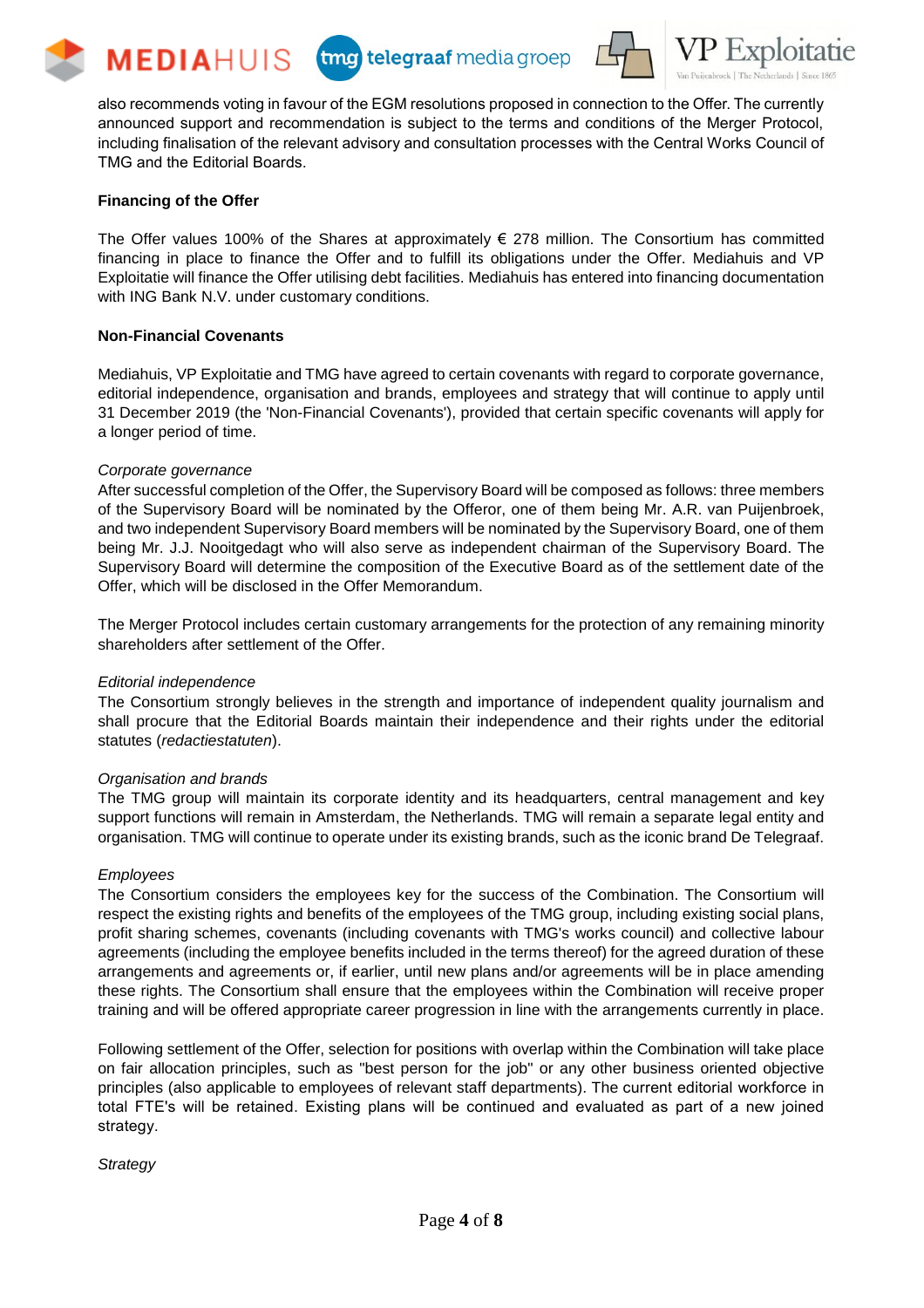







also recommends voting in favour of the EGM resolutions proposed in connection to the Offer. The currently announced support and recommendation is subject to the terms and conditions of the Merger Protocol, including finalisation of the relevant advisory and consultation processes with the Central Works Council of TMG and the Editorial Boards.

#### **Financing of the Offer**

The Offer values 100% of the Shares at approximately  $\epsilon$  278 million. The Consortium has committed financing in place to finance the Offer and to fulfill its obligations under the Offer. Mediahuis and VP Exploitatie will finance the Offer utilising debt facilities. Mediahuis has entered into financing documentation with ING Bank N.V. under customary conditions.

#### **Non-Financial Covenants**

Mediahuis, VP Exploitatie and TMG have agreed to certain covenants with regard to corporate governance, editorial independence, organisation and brands, employees and strategy that will continue to apply until 31 December 2019 (the 'Non-Financial Covenants'), provided that certain specific covenants will apply for a longer period of time.

#### *Corporate governance*

After successful completion of the Offer, the Supervisory Board will be composed as follows: three members of the Supervisory Board will be nominated by the Offeror, one of them being Mr. A.R. van Puijenbroek, and two independent Supervisory Board members will be nominated by the Supervisory Board, one of them being Mr. J.J. Nooitgedagt who will also serve as independent chairman of the Supervisory Board. The Supervisory Board will determine the composition of the Executive Board as of the settlement date of the Offer, which will be disclosed in the Offer Memorandum.

The Merger Protocol includes certain customary arrangements for the protection of any remaining minority shareholders after settlement of the Offer.

#### *Editorial independence*

The Consortium strongly believes in the strength and importance of independent quality journalism and shall procure that the Editorial Boards maintain their independence and their rights under the editorial statutes (*redactiestatuten*).

#### *Organisation and brands*

The TMG group will maintain its corporate identity and its headquarters, central management and key support functions will remain in Amsterdam, the Netherlands. TMG will remain a separate legal entity and organisation. TMG will continue to operate under its existing brands, such as the iconic brand De Telegraaf.

#### *Employees*

The Consortium considers the employees key for the success of the Combination. The Consortium will respect the existing rights and benefits of the employees of the TMG group, including existing social plans, profit sharing schemes, covenants (including covenants with TMG's works council) and collective labour agreements (including the employee benefits included in the terms thereof) for the agreed duration of these arrangements and agreements or, if earlier, until new plans and/or agreements will be in place amending these rights. The Consortium shall ensure that the employees within the Combination will receive proper training and will be offered appropriate career progression in line with the arrangements currently in place.

Following settlement of the Offer, selection for positions with overlap within the Combination will take place on fair allocation principles, such as "best person for the job" or any other business oriented objective principles (also applicable to employees of relevant staff departments). The current editorial workforce in total FTE's will be retained. Existing plans will be continued and evaluated as part of a new joined strategy.

*Strategy*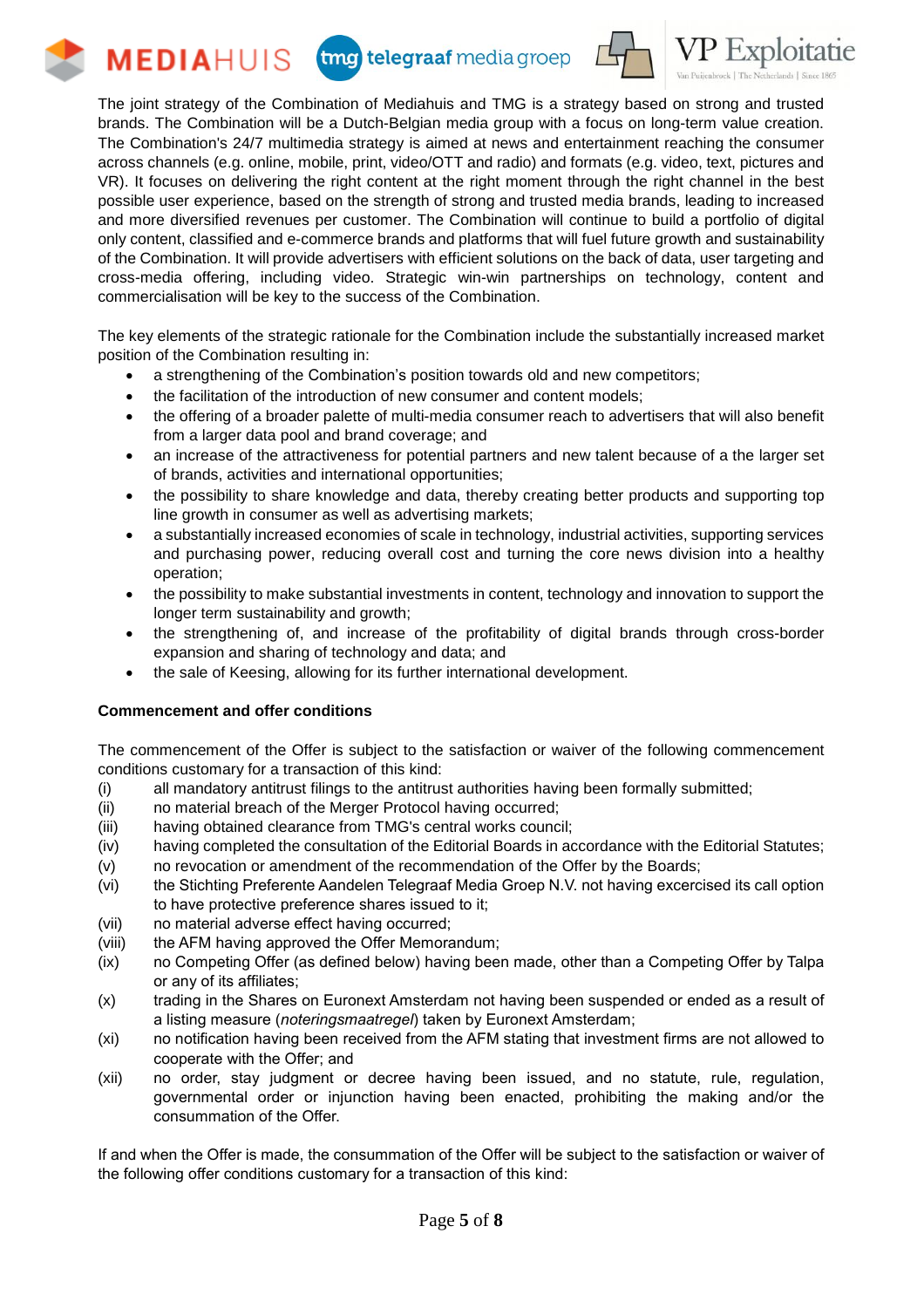



The joint strategy of the Combination of Mediahuis and TMG is a strategy based on strong and trusted brands. The Combination will be a Dutch-Belgian media group with a focus on long-term value creation. The Combination's 24/7 multimedia strategy is aimed at news and entertainment reaching the consumer across channels (e.g. online, mobile, print, video/OTT and radio) and formats (e.g. video, text, pictures and VR). It focuses on delivering the right content at the right moment through the right channel in the best possible user experience, based on the strength of strong and trusted media brands, leading to increased and more diversified revenues per customer. The Combination will continue to build a portfolio of digital only content, classified and e-commerce brands and platforms that will fuel future growth and sustainability of the Combination. It will provide advertisers with efficient solutions on the back of data, user targeting and cross-media offering, including video. Strategic win-win partnerships on technology, content and commercialisation will be key to the success of the Combination.

The key elements of the strategic rationale for the Combination include the substantially increased market position of the Combination resulting in:

- a strengthening of the Combination's position towards old and new competitors;
- the facilitation of the introduction of new consumer and content models;
- the offering of a broader palette of multi-media consumer reach to advertisers that will also benefit from a larger data pool and brand coverage; and
- an increase of the attractiveness for potential partners and new talent because of a the larger set of brands, activities and international opportunities;
- the possibility to share knowledge and data, thereby creating better products and supporting top line growth in consumer as well as advertising markets;
- a substantially increased economies of scale in technology, industrial activities, supporting services and purchasing power, reducing overall cost and turning the core news division into a healthy operation;
- the possibility to make substantial investments in content, technology and innovation to support the longer term sustainability and growth;
- the strengthening of, and increase of the profitability of digital brands through cross-border expansion and sharing of technology and data; and
- the sale of Keesing, allowing for its further international development.

# **Commencement and offer conditions**

**MEDIAHUIS** 

The commencement of the Offer is subject to the satisfaction or waiver of the following commencement conditions customary for a transaction of this kind:

- (i) all mandatory antitrust filings to the antitrust authorities having been formally submitted;
- (ii) no material breach of the Merger Protocol having occurred;
- (iii) having obtained clearance from TMG's central works council;
- (iv) having completed the consultation of the Editorial Boards in accordance with the Editorial Statutes;
- (v) no revocation or amendment of the recommendation of the Offer by the Boards;
- (vi) the Stichting Preferente Aandelen Telegraaf Media Groep N.V. not having excercised its call option to have protective preference shares issued to it;
- (vii) no material adverse effect having occurred;
- (viii) the AFM having approved the Offer Memorandum;
- (ix) no Competing Offer (as defined below) having been made, other than a Competing Offer by Talpa or any of its affiliates;
- (x) trading in the Shares on Euronext Amsterdam not having been suspended or ended as a result of a listing measure (*noteringsmaatregel*) taken by Euronext Amsterdam;
- (xi) no notification having been received from the AFM stating that investment firms are not allowed to cooperate with the Offer; and
- (xii) no order, stay judgment or decree having been issued, and no statute, rule, regulation, governmental order or injunction having been enacted, prohibiting the making and/or the consummation of the Offer.

If and when the Offer is made, the consummation of the Offer will be subject to the satisfaction or waiver of the following offer conditions customary for a transaction of this kind: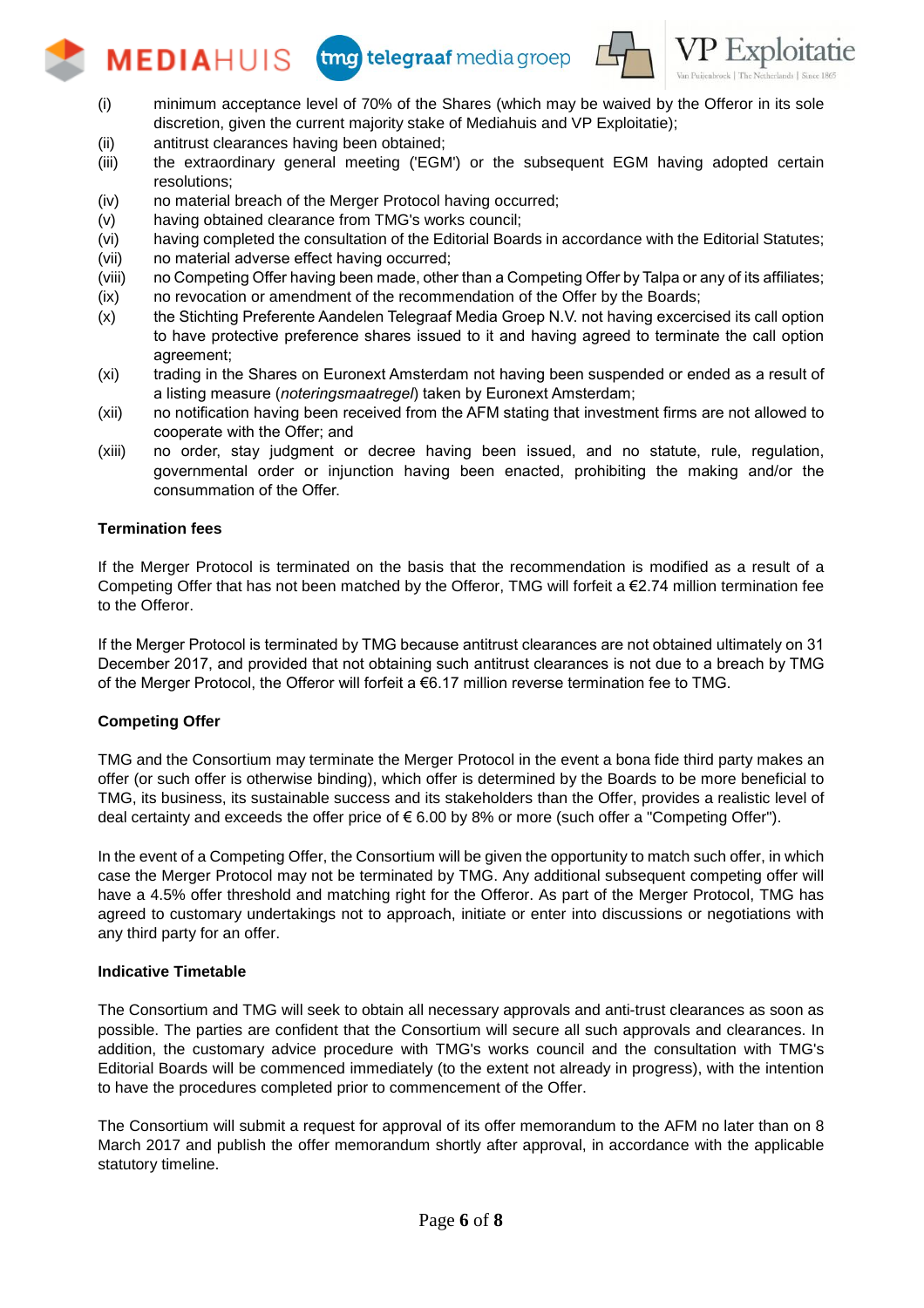# tmg telegraaf media groep



- (i) minimum acceptance level of 70% of the Shares (which may be waived by the Offeror in its sole discretion, given the current majority stake of Mediahuis and VP Exploitatie);
- (ii) antitrust clearances having been obtained;

**MEDIAHUIS** 

- (iii) the extraordinary general meeting ('EGM') or the subsequent EGM having adopted certain resolutions;
- (iv) no material breach of the Merger Protocol having occurred;
- (v) having obtained clearance from TMG's works council;
- (vi) having completed the consultation of the Editorial Boards in accordance with the Editorial Statutes;
- (vii) no material adverse effect having occurred;
- (viii) no Competing Offer having been made, other than a Competing Offer by Talpa or any of its affiliates;
- (ix) no revocation or amendment of the recommendation of the Offer by the Boards;
- (x) the Stichting Preferente Aandelen Telegraaf Media Groep N.V. not having excercised its call option to have protective preference shares issued to it and having agreed to terminate the call option agreement;
- (xi) trading in the Shares on Euronext Amsterdam not having been suspended or ended as a result of a listing measure (*noteringsmaatregel*) taken by Euronext Amsterdam;
- (xii) no notification having been received from the AFM stating that investment firms are not allowed to cooperate with the Offer; and
- (xiii) no order, stay judgment or decree having been issued, and no statute, rule, regulation, governmental order or injunction having been enacted, prohibiting the making and/or the consummation of the Offer.

# **Termination fees**

If the Merger Protocol is terminated on the basis that the recommendation is modified as a result of a Competing Offer that has not been matched by the Offeror, TMG will forfeit a €2.74 million termination fee to the Offeror.

If the Merger Protocol is terminated by TMG because antitrust clearances are not obtained ultimately on 31 December 2017, and provided that not obtaining such antitrust clearances is not due to a breach by TMG of the Merger Protocol, the Offeror will forfeit a €6.17 million reverse termination fee to TMG.

# **Competing Offer**

TMG and the Consortium may terminate the Merger Protocol in the event a bona fide third party makes an offer (or such offer is otherwise binding), which offer is determined by the Boards to be more beneficial to TMG, its business, its sustainable success and its stakeholders than the Offer, provides a realistic level of deal certainty and exceeds the offer price of € 6.00 by 8% or more (such offer a "Competing Offer").

In the event of a Competing Offer, the Consortium will be given the opportunity to match such offer, in which case the Merger Protocol may not be terminated by TMG. Any additional subsequent competing offer will have a 4.5% offer threshold and matching right for the Offeror. As part of the Merger Protocol, TMG has agreed to customary undertakings not to approach, initiate or enter into discussions or negotiations with any third party for an offer.

# **Indicative Timetable**

The Consortium and TMG will seek to obtain all necessary approvals and anti-trust clearances as soon as possible. The parties are confident that the Consortium will secure all such approvals and clearances. In addition, the customary advice procedure with TMG's works council and the consultation with TMG's Editorial Boards will be commenced immediately (to the extent not already in progress), with the intention to have the procedures completed prior to commencement of the Offer.

The Consortium will submit a request for approval of its offer memorandum to the AFM no later than on 8 March 2017 and publish the offer memorandum shortly after approval, in accordance with the applicable statutory timeline.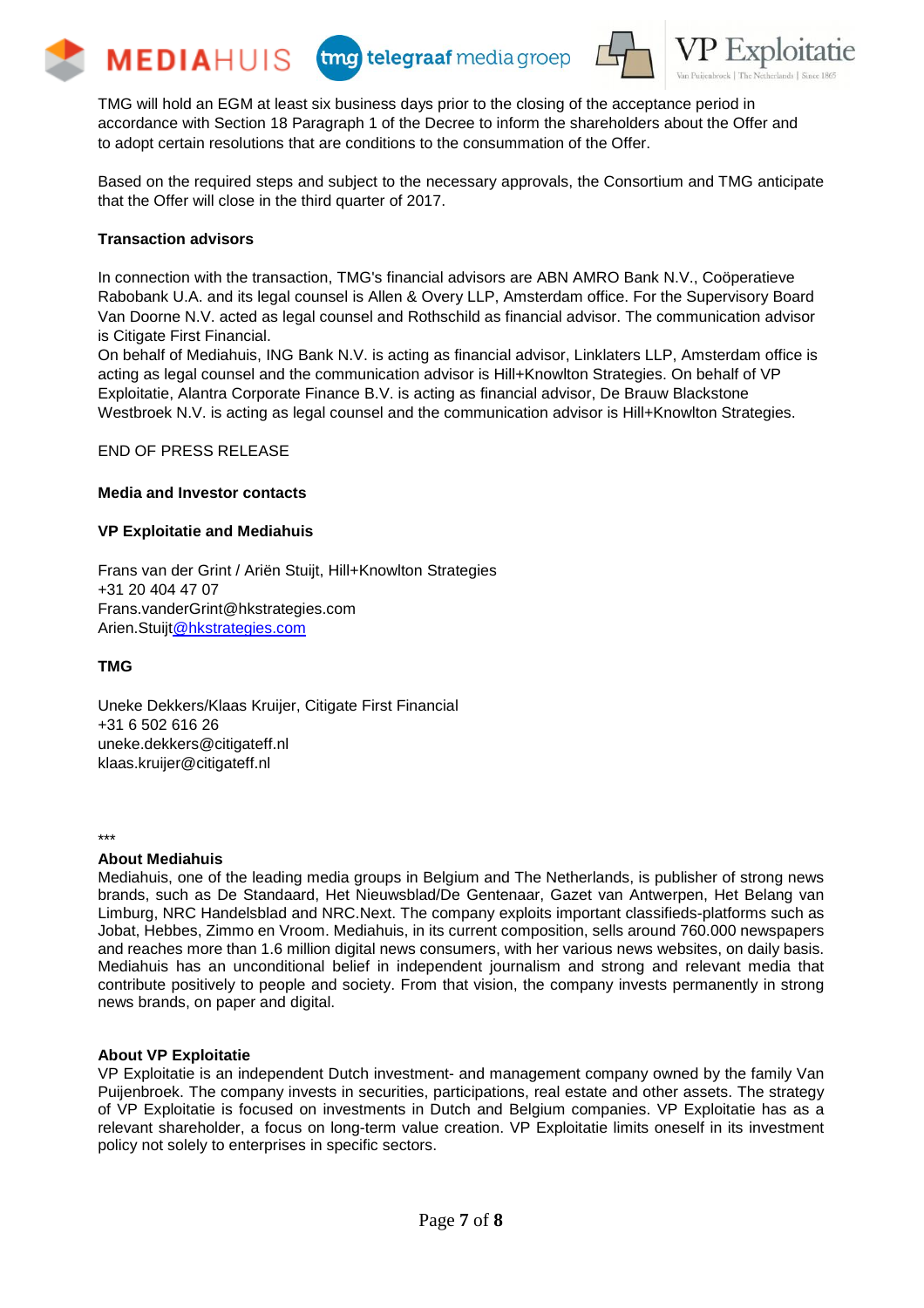







TMG will hold an EGM at least six business days prior to the closing of the acceptance period in accordance with Section 18 Paragraph 1 of the Decree to inform the shareholders about the Offer and to adopt certain resolutions that are conditions to the consummation of the Offer.

Based on the required steps and subject to the necessary approvals, the Consortium and TMG anticipate that the Offer will close in the third quarter of 2017.

# **Transaction advisors**

In connection with the transaction, TMG's financial advisors are ABN AMRO Bank N.V., Coöperatieve Rabobank U.A. and its legal counsel is Allen & Overy LLP, Amsterdam office. For the Supervisory Board Van Doorne N.V. acted as legal counsel and Rothschild as financial advisor. The communication advisor is Citigate First Financial.

On behalf of Mediahuis, ING Bank N.V. is acting as financial advisor, Linklaters LLP, Amsterdam office is acting as legal counsel and the communication advisor is Hill+Knowlton Strategies. On behalf of VP Exploitatie, Alantra Corporate Finance B.V. is acting as financial advisor, De Brauw Blackstone Westbroek N.V. is acting as legal counsel and the communication advisor is Hill+Knowlton Strategies.

END OF PRESS RELEASE

#### **Media and Investor contacts**

#### **VP Exploitatie and Mediahuis**

Frans van der Grint / Ariën Stuijt, Hill+Knowlton Strategies +31 20 404 47 07 Frans.vanderGrint@hkstrategies.com Arien.Stuij[t@hkstrategies.com](mailto:Grint@hkstrategies.com)

# **TMG**

Uneke Dekkers/Klaas Kruijer, Citigate First Financial +31 6 502 616 26 [uneke.dekkers@citigateff.nl](mailto:uneke.dekkers@citigateff.nl) [klaas.kruijer@citigateff.nl](mailto:klaas.kruijer@citigateff.nl)

\*\*\*

# **About Mediahuis**

Mediahuis, one of the leading media groups in Belgium and The Netherlands, is publisher of strong news brands, such as De Standaard, Het Nieuwsblad/De Gentenaar, Gazet van Antwerpen, Het Belang van Limburg, NRC Handelsblad and NRC.Next. The company exploits important classifieds-platforms such as Jobat, Hebbes, Zimmo en Vroom. Mediahuis, in its current composition, sells around 760.000 newspapers and reaches more than 1.6 million digital news consumers, with her various news websites, on daily basis. Mediahuis has an unconditional belief in independent journalism and strong and relevant media that contribute positively to people and society. From that vision, the company invests permanently in strong news brands, on paper and digital.

# **About VP Exploitatie**

VP Exploitatie is an independent Dutch investment- and management company owned by the family Van Puijenbroek. The company invests in securities, participations, real estate and other assets. The strategy of VP Exploitatie is focused on investments in Dutch and Belgium companies. VP Exploitatie has as a relevant shareholder, a focus on long-term value creation. VP Exploitatie limits oneself in its investment policy not solely to enterprises in specific sectors.